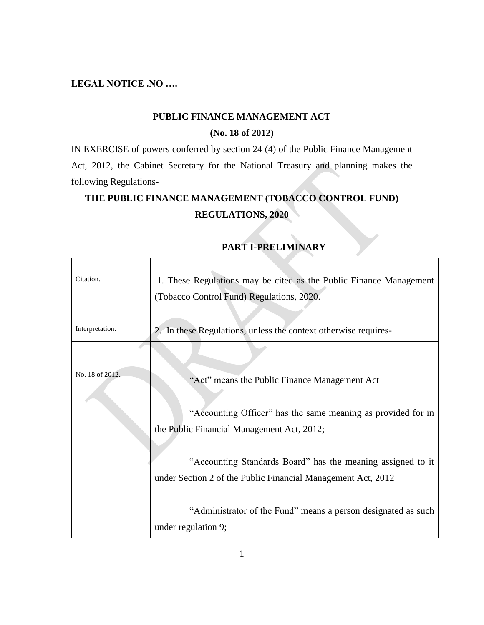#### **LEGAL NOTICE .NO ….**

#### **PUBLIC FINANCE MANAGEMENT ACT**

#### **(No. 18 of 2012)**

IN EXERCISE of powers conferred by section 24 (4) of the Public Finance Management Act, 2012, the Cabinet Secretary for the National Treasury and planning makes the following Regulations-

## **THE PUBLIC FINANCE MANAGEMENT (TOBACCO CONTROL FUND)**

#### **REGULATIONS, 2020**

| Citation.       | 1. These Regulations may be cited as the Public Finance Management                                                          |
|-----------------|-----------------------------------------------------------------------------------------------------------------------------|
|                 | (Tobacco Control Fund) Regulations, 2020.                                                                                   |
|                 |                                                                                                                             |
| Interpretation. | 2. In these Regulations, unless the context otherwise requires-                                                             |
|                 |                                                                                                                             |
| No. 18 of 2012. | "Act" means the Public Finance Management Act                                                                               |
|                 | "Accounting Officer" has the same meaning as provided for in                                                                |
|                 | the Public Financial Management Act, 2012;                                                                                  |
|                 | "Accounting Standards Board" has the meaning assigned to it<br>under Section 2 of the Public Financial Management Act, 2012 |
|                 | "Administrator of the Fund" means a person designated as such                                                               |
|                 | under regulation 9;                                                                                                         |

#### **PART I-PRELIMINARY**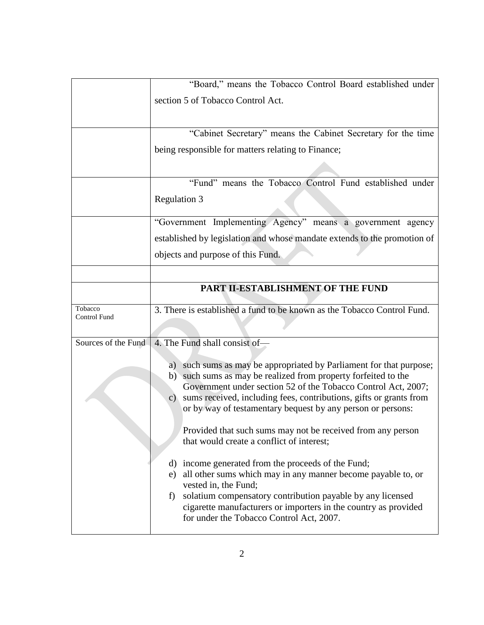|                         | "Board," means the Tobacco Control Board established under                                                                                                                                                                                                                                                                                           |
|-------------------------|------------------------------------------------------------------------------------------------------------------------------------------------------------------------------------------------------------------------------------------------------------------------------------------------------------------------------------------------------|
|                         | section 5 of Tobacco Control Act.                                                                                                                                                                                                                                                                                                                    |
|                         |                                                                                                                                                                                                                                                                                                                                                      |
|                         | "Cabinet Secretary" means the Cabinet Secretary for the time                                                                                                                                                                                                                                                                                         |
|                         | being responsible for matters relating to Finance;                                                                                                                                                                                                                                                                                                   |
|                         |                                                                                                                                                                                                                                                                                                                                                      |
|                         | "Fund" means the Tobacco Control Fund established under                                                                                                                                                                                                                                                                                              |
|                         | Regulation 3                                                                                                                                                                                                                                                                                                                                         |
|                         | "Government Implementing Agency" means a government agency                                                                                                                                                                                                                                                                                           |
|                         | established by legislation and whose mandate extends to the promotion of                                                                                                                                                                                                                                                                             |
|                         | objects and purpose of this Fund.                                                                                                                                                                                                                                                                                                                    |
|                         |                                                                                                                                                                                                                                                                                                                                                      |
|                         | PART II-ESTABLISHMENT OF THE FUND                                                                                                                                                                                                                                                                                                                    |
| Tobacco<br>Control Fund | 3. There is established a fund to be known as the Tobacco Control Fund.                                                                                                                                                                                                                                                                              |
|                         |                                                                                                                                                                                                                                                                                                                                                      |
| Sources of the Fund     | 4. The Fund shall consist of-                                                                                                                                                                                                                                                                                                                        |
|                         | such sums as may be appropriated by Parliament for that purpose;<br>a)<br>such sums as may be realized from property forfeited to the<br>b)<br>Government under section 52 of the Tobacco Control Act, 2007;<br>c) sums received, including fees, contributions, gifts or grants from<br>or by way of testamentary bequest by any person or persons: |
|                         | Provided that such sums may not be received from any person<br>that would create a conflict of interest;                                                                                                                                                                                                                                             |
|                         | d) income generated from the proceeds of the Fund;<br>all other sums which may in any manner become payable to, or<br>e)<br>vested in, the Fund;<br>solatium compensatory contribution payable by any licensed<br>f)<br>cigarette manufacturers or importers in the country as provided<br>for under the Tobacco Control Act, 2007.                  |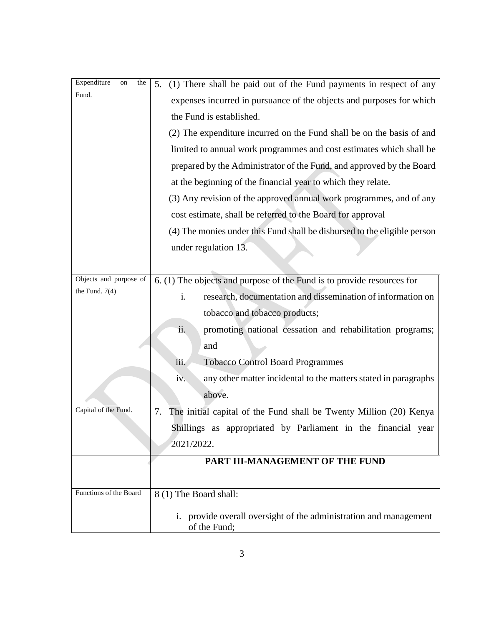| Expenditure<br>the<br>on | (1) There shall be paid out of the Fund payments in respect of any<br>5.          |
|--------------------------|-----------------------------------------------------------------------------------|
| Fund.                    | expenses incurred in pursuance of the objects and purposes for which              |
|                          | the Fund is established.                                                          |
|                          | (2) The expenditure incurred on the Fund shall be on the basis of and             |
|                          | limited to annual work programmes and cost estimates which shall be               |
|                          | prepared by the Administrator of the Fund, and approved by the Board              |
|                          | at the beginning of the financial year to which they relate.                      |
|                          | (3) Any revision of the approved annual work programmes, and of any               |
|                          | cost estimate, shall be referred to the Board for approval                        |
|                          | (4) The monies under this Fund shall be disbursed to the eligible person          |
|                          | under regulation 13.                                                              |
|                          |                                                                                   |
| Objects and purpose of   | 6. (1) The objects and purpose of the Fund is to provide resources for            |
| the Fund. $7(4)$         | research, documentation and dissemination of information on<br>i.                 |
|                          | tobacco and tobacco products;                                                     |
|                          | ii.<br>promoting national cessation and rehabilitation programs;                  |
|                          | and                                                                               |
|                          | <b>Tobacco Control Board Programmes</b><br>iii.                                   |
|                          | any other matter incidental to the matters stated in paragraphs<br>iv.            |
|                          | above.                                                                            |
| Capital of the Fund.     | The initial capital of the Fund shall be Twenty Million (20) Kenya<br>7.          |
|                          | Shillings as appropriated by Parliament in the financial year                     |
|                          | 2021/2022.                                                                        |
|                          | PART III-MANAGEMENT OF THE FUND                                                   |
|                          |                                                                                   |
| Functions of the Board   | 8 (1) The Board shall:                                                            |
|                          | i. provide overall oversight of the administration and management<br>of the Fund; |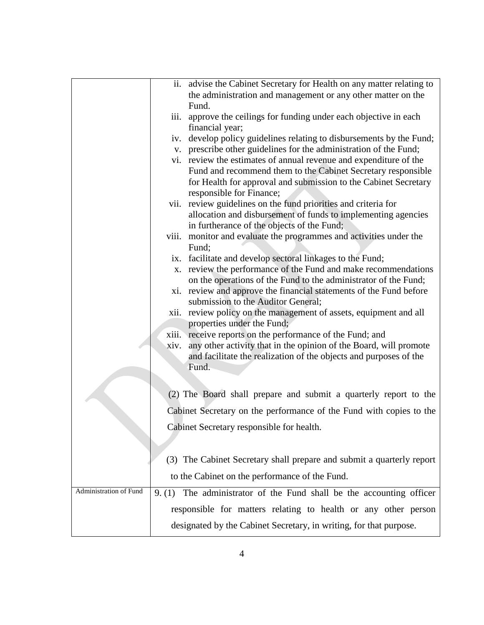|                        |       | ii. advise the Cabinet Secretary for Health on any matter relating to                                                          |
|------------------------|-------|--------------------------------------------------------------------------------------------------------------------------------|
|                        |       | the administration and management or any other matter on the                                                                   |
|                        |       | Fund.                                                                                                                          |
|                        |       | iii. approve the ceilings for funding under each objective in each                                                             |
|                        |       | financial year;                                                                                                                |
|                        |       | iv. develop policy guidelines relating to disbursements by the Fund;                                                           |
|                        |       | v. prescribe other guidelines for the administration of the Fund;                                                              |
|                        |       | vi. review the estimates of annual revenue and expenditure of the                                                              |
|                        |       | Fund and recommend them to the Cabinet Secretary responsible                                                                   |
|                        |       | for Health for approval and submission to the Cabinet Secretary                                                                |
|                        |       | responsible for Finance;                                                                                                       |
|                        |       | vii. review guidelines on the fund priorities and criteria for                                                                 |
|                        |       | allocation and disbursement of funds to implementing agencies                                                                  |
|                        |       | in furtherance of the objects of the Fund;                                                                                     |
|                        | viii. | monitor and evaluate the programmes and activities under the                                                                   |
|                        |       | Fund;                                                                                                                          |
|                        |       | ix. facilitate and develop sectoral linkages to the Fund;                                                                      |
|                        | X.    | review the performance of the Fund and make recommendations<br>on the operations of the Fund to the administrator of the Fund; |
|                        |       | xi. review and approve the financial statements of the Fund before                                                             |
|                        |       | submission to the Auditor General;                                                                                             |
|                        |       | xii. review policy on the management of assets, equipment and all                                                              |
|                        |       | properties under the Fund;                                                                                                     |
|                        |       | xiii. receive reports on the performance of the Fund; and                                                                      |
|                        | xiv.  | any other activity that in the opinion of the Board, will promote                                                              |
|                        |       | and facilitate the realization of the objects and purposes of the                                                              |
|                        |       | Fund.                                                                                                                          |
|                        |       |                                                                                                                                |
|                        |       | (2) The Board shall prepare and submit a quarterly report to the                                                               |
|                        |       |                                                                                                                                |
|                        |       | Cabinet Secretary on the performance of the Fund with copies to the                                                            |
|                        |       | Cabinet Secretary responsible for health.                                                                                      |
|                        |       |                                                                                                                                |
|                        |       |                                                                                                                                |
|                        |       | (3) The Cabinet Secretary shall prepare and submit a quarterly report                                                          |
|                        |       | to the Cabinet on the performance of the Fund.                                                                                 |
| Administration of Fund |       | 9. (1) The administrator of the Fund shall be the accounting officer                                                           |
|                        |       | responsible for matters relating to health or any other person                                                                 |
|                        |       | designated by the Cabinet Secretary, in writing, for that purpose.                                                             |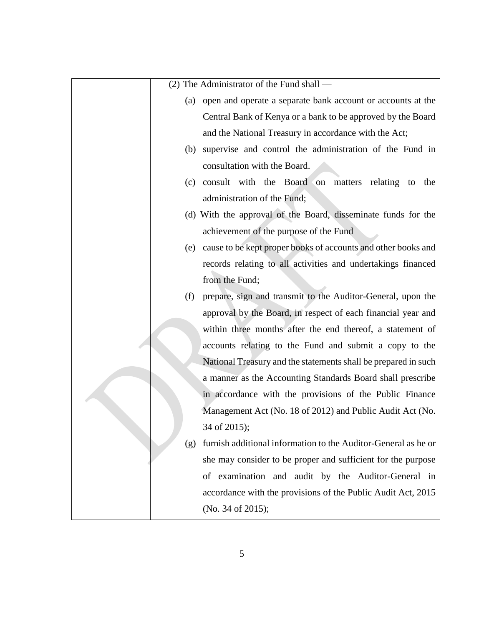|     | (2) The Administrator of the Fund shall —                      |
|-----|----------------------------------------------------------------|
| (a) | open and operate a separate bank account or accounts at the    |
|     | Central Bank of Kenya or a bank to be approved by the Board    |
|     | and the National Treasury in accordance with the Act;          |
| (b) | supervise and control the administration of the Fund in        |
|     | consultation with the Board.                                   |
| (c) | consult with the Board on matters relating<br>to<br>the        |
|     | administration of the Fund;                                    |
|     | (d) With the approval of the Board, disseminate funds for the  |
|     | achievement of the purpose of the Fund                         |
| (e) | cause to be kept proper books of accounts and other books and  |
|     | records relating to all activities and undertakings financed   |
|     | from the Fund;                                                 |
| (f) | prepare, sign and transmit to the Auditor-General, upon the    |
|     | approval by the Board, in respect of each financial year and   |
|     | within three months after the end thereof, a statement of      |
|     | accounts relating to the Fund and submit a copy to the         |
|     | National Treasury and the statements shall be prepared in such |
|     | a manner as the Accounting Standards Board shall prescribe     |
|     | in accordance with the provisions of the Public Finance        |
|     | Management Act (No. 18 of 2012) and Public Audit Act (No.      |
|     | 34 of 2015);                                                   |
| (g) | furnish additional information to the Auditor-General as he or |
|     | she may consider to be proper and sufficient for the purpose   |
|     | of examination and audit by the Auditor-General in             |
|     | accordance with the provisions of the Public Audit Act, 2015   |
|     | (No. 34 of 2015);                                              |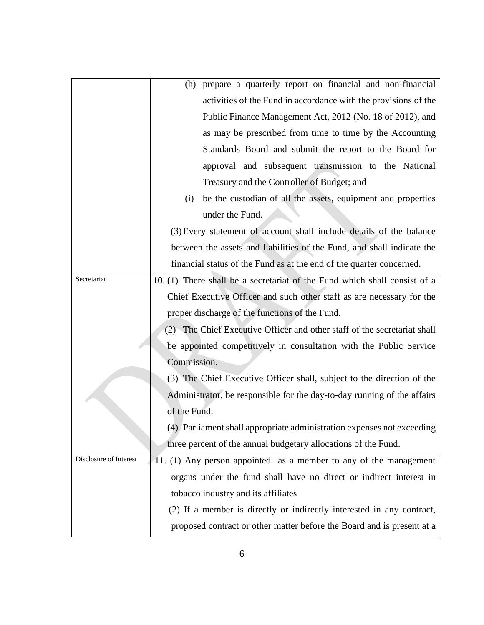|                        | prepare a quarterly report on financial and non-financial<br>(h)          |
|------------------------|---------------------------------------------------------------------------|
|                        | activities of the Fund in accordance with the provisions of the           |
|                        | Public Finance Management Act, 2012 (No. 18 of 2012), and                 |
|                        | as may be prescribed from time to time by the Accounting                  |
|                        | Standards Board and submit the report to the Board for                    |
|                        | approval and subsequent transmission to the National                      |
|                        | Treasury and the Controller of Budget; and                                |
|                        | be the custodian of all the assets, equipment and properties<br>(i)       |
|                        | under the Fund.                                                           |
|                        | (3) Every statement of account shall include details of the balance       |
|                        | between the assets and liabilities of the Fund, and shall indicate the    |
|                        | financial status of the Fund as at the end of the quarter concerned.      |
| Secretariat            | 10. (1) There shall be a secretariat of the Fund which shall consist of a |
|                        | Chief Executive Officer and such other staff as are necessary for the     |
|                        | proper discharge of the functions of the Fund.                            |
|                        | (2) The Chief Executive Officer and other staff of the secretariat shall  |
|                        | be appointed competitively in consultation with the Public Service        |
|                        | Commission.                                                               |
|                        | (3) The Chief Executive Officer shall, subject to the direction of the    |
|                        | Administrator, be responsible for the day-to-day running of the affairs   |
|                        | of the Fund.                                                              |
|                        | (4) Parliament shall appropriate administration expenses not exceeding    |
|                        | three percent of the annual budgetary allocations of the Fund.            |
| Disclosure of Interest | 11. (1) Any person appointed as a member to any of the management         |
|                        | organs under the fund shall have no direct or indirect interest in        |
|                        | tobacco industry and its affiliates                                       |
|                        | (2) If a member is directly or indirectly interested in any contract,     |
|                        | proposed contract or other matter before the Board and is present at a    |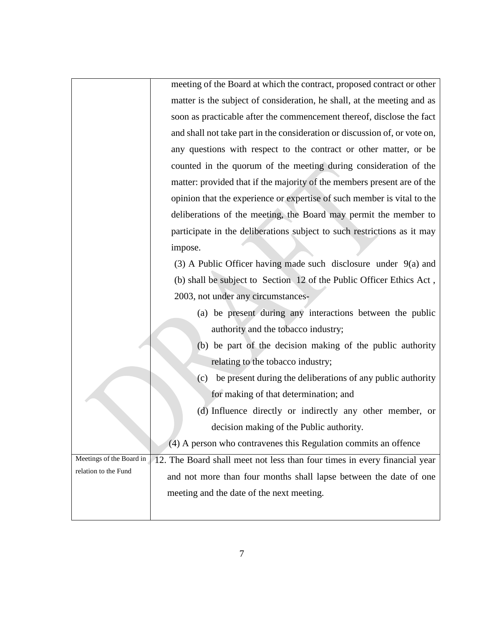|                          | meeting of the Board at which the contract, proposed contract or other     |
|--------------------------|----------------------------------------------------------------------------|
|                          | matter is the subject of consideration, he shall, at the meeting and as    |
|                          | soon as practicable after the commencement thereof, disclose the fact      |
|                          | and shall not take part in the consideration or discussion of, or vote on, |
|                          | any questions with respect to the contract or other matter, or be          |
|                          | counted in the quorum of the meeting during consideration of the           |
|                          | matter: provided that if the majority of the members present are of the    |
|                          | opinion that the experience or expertise of such member is vital to the    |
|                          | deliberations of the meeting, the Board may permit the member to           |
|                          | participate in the deliberations subject to such restrictions as it may    |
|                          | impose.                                                                    |
|                          | $(3)$ A Public Officer having made such disclosure under $9(a)$ and        |
|                          | (b) shall be subject to Section 12 of the Public Officer Ethics Act,       |
|                          | 2003, not under any circumstances-                                         |
|                          | (a) be present during any interactions between the public                  |
|                          | authority and the tobacco industry;                                        |
|                          | (b) be part of the decision making of the public authority                 |
|                          | relating to the tobacco industry;                                          |
|                          | (c) be present during the deliberations of any public authority            |
|                          | for making of that determination; and                                      |
|                          | (d) Influence directly or indirectly any other member, or                  |
|                          | decision making of the Public authority.                                   |
|                          | (4) A person who contravenes this Regulation commits an offence            |
| Meetings of the Board in | 12. The Board shall meet not less than four times in every financial year  |
| relation to the Fund     | and not more than four months shall lapse between the date of one          |
|                          | meeting and the date of the next meeting.                                  |
|                          |                                                                            |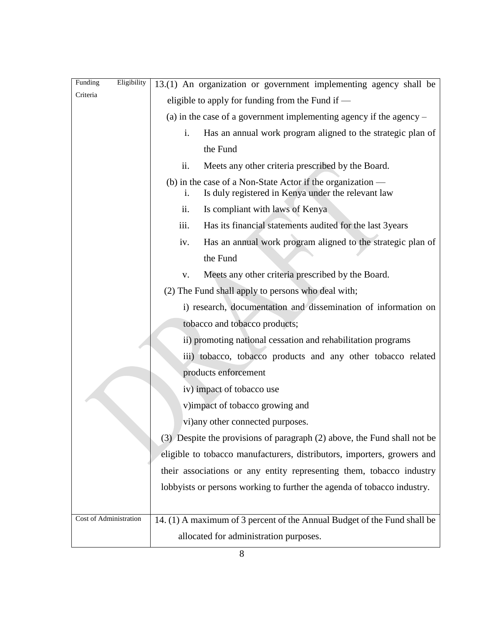| Eligibility<br>Funding | 13.(1) An organization or government implementing agency shall be                                                      |
|------------------------|------------------------------------------------------------------------------------------------------------------------|
| Criteria               | eligible to apply for funding from the Fund if $-$                                                                     |
|                        | (a) in the case of a government implementing agency if the agency $-$                                                  |
|                        | i.<br>Has an annual work program aligned to the strategic plan of                                                      |
|                        | the Fund                                                                                                               |
|                        | ii.<br>Meets any other criteria prescribed by the Board.                                                               |
|                        | (b) in the case of a Non-State Actor if the organization —<br>Is duly registered in Kenya under the relevant law<br>i. |
|                        | ii.<br>Is compliant with laws of Kenya                                                                                 |
|                        | Has its financial statements audited for the last 3years<br>iii.                                                       |
|                        | Has an annual work program aligned to the strategic plan of<br>iv.                                                     |
|                        | the Fund                                                                                                               |
|                        | Meets any other criteria prescribed by the Board.<br>V.                                                                |
|                        | (2) The Fund shall apply to persons who deal with;                                                                     |
|                        | i) research, documentation and dissemination of information on                                                         |
|                        | tobacco and tobacco products;                                                                                          |
|                        | ii) promoting national cessation and rehabilitation programs                                                           |
|                        | iii) tobacco, tobacco products and any other tobacco related                                                           |
|                        | products enforcement                                                                                                   |
|                        | iv) impact of tobacco use                                                                                              |
|                        | v)impact of tobacco growing and                                                                                        |
|                        | vi) any other connected purposes.                                                                                      |
|                        | (3) Despite the provisions of paragraph (2) above, the Fund shall not be                                               |
|                        | eligible to tobacco manufacturers, distributors, importers, growers and                                                |
|                        | their associations or any entity representing them, tobacco industry                                                   |
|                        | lobbyists or persons working to further the agenda of tobacco industry.                                                |
|                        |                                                                                                                        |
| Cost of Administration | 14. (1) A maximum of 3 percent of the Annual Budget of the Fund shall be                                               |
|                        | allocated for administration purposes.                                                                                 |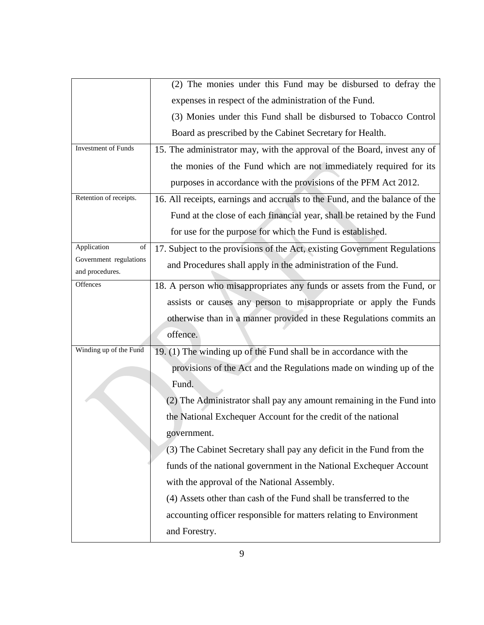|                                           | (2) The monies under this Fund may be disbursed to defray the               |
|-------------------------------------------|-----------------------------------------------------------------------------|
|                                           | expenses in respect of the administration of the Fund.                      |
|                                           | (3) Monies under this Fund shall be disbursed to Tobacco Control            |
|                                           | Board as prescribed by the Cabinet Secretary for Health.                    |
| <b>Investment of Funds</b>                | 15. The administrator may, with the approval of the Board, invest any of    |
|                                           | the monies of the Fund which are not immediately required for its           |
|                                           | purposes in accordance with the provisions of the PFM Act 2012.             |
| Retention of receipts.                    | 16. All receipts, earnings and accruals to the Fund, and the balance of the |
|                                           | Fund at the close of each financial year, shall be retained by the Fund     |
|                                           | for use for the purpose for which the Fund is established.                  |
| Application<br>$_{\mathrm{of}}$           | 17. Subject to the provisions of the Act, existing Government Regulations   |
| Government regulations<br>and procedures. | and Procedures shall apply in the administration of the Fund.               |
| Offences                                  | 18. A person who misappropriates any funds or assets from the Fund, or      |
|                                           | assists or causes any person to misappropriate or apply the Funds           |
|                                           | otherwise than in a manner provided in these Regulations commits an         |
|                                           | offence.                                                                    |
| Winding up of the Fund                    | 19. (1) The winding up of the Fund shall be in accordance with the          |
|                                           | provisions of the Act and the Regulations made on winding up of the         |
|                                           | Fund.                                                                       |
|                                           | (2) The Administrator shall pay any amount remaining in the Fund into       |
|                                           | the National Exchequer Account for the credit of the national               |
|                                           | government.                                                                 |
|                                           | (3) The Cabinet Secretary shall pay any deficit in the Fund from the        |
|                                           | funds of the national government in the National Exchequer Account          |
|                                           | with the approval of the National Assembly.                                 |
|                                           | (4) Assets other than cash of the Fund shall be transferred to the          |
|                                           | accounting officer responsible for matters relating to Environment          |
|                                           | and Forestry.                                                               |
|                                           |                                                                             |